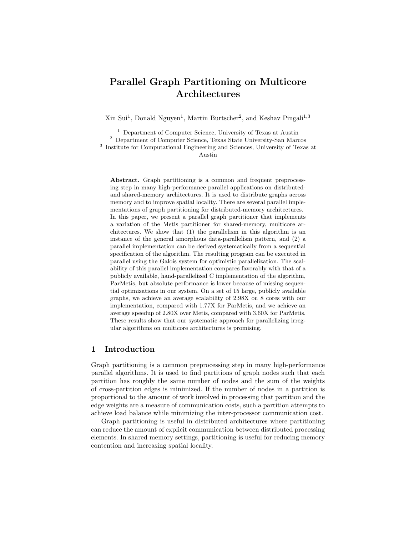# Parallel Graph Partitioning on Multicore Architectures

Xin Sui<sup>1</sup>, Donald Nguyen<sup>1</sup>, Martin Burtscher<sup>2</sup>, and Keshav Pingali<sup>1,3</sup>

 $^{\rm 1}$  Department of Computer Science, University of Texas at Austin <sup>2</sup> Department of Computer Science, Texas State University-San Marcos <sup>3</sup> Institute for Computational Engineering and Sciences, University of Texas at Austin

Abstract. Graph partitioning is a common and frequent preprocessing step in many high-performance parallel applications on distributedand shared-memory architectures. It is used to distribute graphs across memory and to improve spatial locality. There are several parallel implementations of graph partitioning for distributed-memory architectures. In this paper, we present a parallel graph partitioner that implements a variation of the Metis partitioner for shared-memory, multicore architectures. We show that (1) the parallelism in this algorithm is an instance of the general amorphous data-parallelism pattern, and (2) a parallel implementation can be derived systematically from a sequential specification of the algorithm. The resulting program can be executed in parallel using the Galois system for optimistic parallelization. The scalability of this parallel implementation compares favorably with that of a publicly available, hand-parallelized C implementation of the algorithm, ParMetis, but absolute performance is lower because of missing sequential optimizations in our system. On a set of 15 large, publicly available graphs, we achieve an average scalability of 2.98X on 8 cores with our implementation, compared with 1.77X for ParMetis, and we achieve an average speedup of 2.80X over Metis, compared with 3.60X for ParMetis. These results show that our systematic approach for parallelizing irregular algorithms on multicore architectures is promising.

## 1 Introduction

Graph partitioning is a common preprocessing step in many high-performance parallel algorithms. It is used to find partitions of graph nodes such that each partition has roughly the same number of nodes and the sum of the weights of cross-partition edges is minimized. If the number of nodes in a partition is proportional to the amount of work involved in processing that partition and the edge weights are a measure of communication costs, such a partition attempts to achieve load balance while minimizing the inter-processor communication cost.

Graph partitioning is useful in distributed architectures where partitioning can reduce the amount of explicit communication between distributed processing elements. In shared memory settings, partitioning is useful for reducing memory contention and increasing spatial locality.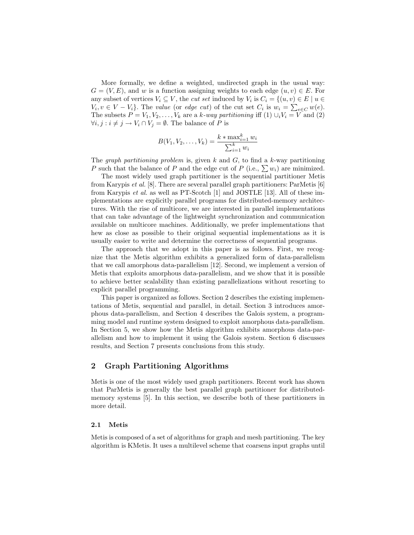More formally, we define a weighted, undirected graph in the usual way:  $G = (V, E)$ , and w is a function assigning weights to each edge  $(u, v) \in E$ . For any subset of vertices  $V_i \subseteq V$ , the *cut set* induced by  $V_i$  is  $C_i = \{(u, v) \in E \mid u \in$  $V_i, v \in V - V_i$ . The value (or edge cut) of the cut set  $C_i$  is  $w_i = \sum_{e \in C} w(e)$ . The subsets  $P = V_1, V_2, \ldots, V_k$  are a k-way partitioning iff (1)  $\cup_i V_i = V$  and (2)  $\forall i, j : i \neq j \rightarrow V_i \cap V_j = \emptyset$ . The balance of P is

$$
B(V_1, V_2, \dots, V_k) = \frac{k * \max_{i=1}^k w_i}{\sum_{i=1}^k w_i}
$$

The graph partitioning problem is, given k and  $G$ , to find a k-way partitioning P such that the balance of P and the edge cut of P (i.e.,  $\sum w_i$ ) are minimized.

The most widely used graph partitioner is the sequential partitioner Metis from Karypis et al. [8]. There are several parallel graph partitioners: ParMetis [6] from Karypis et al. as well as PT-Scotch [1] and JOSTLE [13]. All of these implementations are explicitly parallel programs for distributed-memory architectures. With the rise of multicore, we are interested in parallel implementations that can take advantage of the lightweight synchronization and communication available on multicore machines. Additionally, we prefer implementations that hew as close as possible to their original sequential implementations as it is usually easier to write and determine the correctness of sequential programs.

The approach that we adopt in this paper is as follows. First, we recognize that the Metis algorithm exhibits a generalized form of data-parallelism that we call amorphous data-parallelism [12]. Second, we implement a version of Metis that exploits amorphous data-parallelism, and we show that it is possible to achieve better scalability than existing parallelizations without resorting to explicit parallel programming.

This paper is organized as follows. Section 2 describes the existing implementations of Metis, sequential and parallel, in detail. Section 3 introduces amorphous data-parallelism, and Section 4 describes the Galois system, a programming model and runtime system designed to exploit amorphous data-parallelism. In Section 5, we show how the Metis algorithm exhibits amorphous data-parallelism and how to implement it using the Galois system. Section 6 discusses results, and Section 7 presents conclusions from this study.

# 2 Graph Partitioning Algorithms

Metis is one of the most widely used graph partitioners. Recent work has shown that ParMetis is generally the best parallel graph partitioner for distributedmemory systems [5]. In this section, we describe both of these partitioners in more detail.

#### 2.1 Metis

Metis is composed of a set of algorithms for graph and mesh partitioning. The key algorithm is KMetis. It uses a multilevel scheme that coarsens input graphs until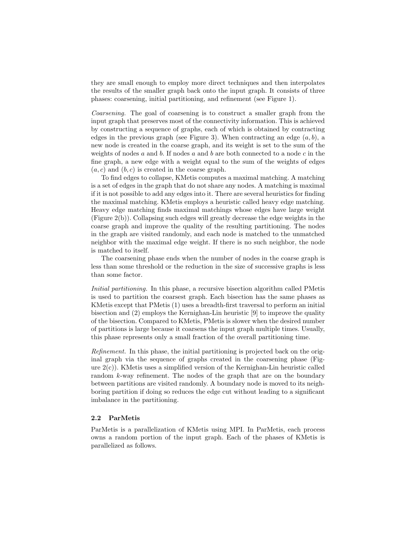they are small enough to employ more direct techniques and then interpolates the results of the smaller graph back onto the input graph. It consists of three phases: coarsening, initial partitioning, and refinement (see Figure 1).

Coarsening. The goal of coarsening is to construct a smaller graph from the input graph that preserves most of the connectivity information. This is achieved by constructing a sequence of graphs, each of which is obtained by contracting edges in the previous graph (see Figure 3). When contracting an edge  $(a, b)$ , a new node is created in the coarse graph, and its weight is set to the sum of the weights of nodes  $a$  and  $b$ . If nodes  $a$  and  $b$  are both connected to a node  $c$  in the fine graph, a new edge with a weight equal to the sum of the weights of edges  $(a, c)$  and  $(b, c)$  is created in the coarse graph.

To find edges to collapse, KMetis computes a maximal matching. A matching is a set of edges in the graph that do not share any nodes. A matching is maximal if it is not possible to add any edges into it. There are several heuristics for finding the maximal matching. KMetis employs a heuristic called heavy edge matching. Heavy edge matching finds maximal matchings whose edges have large weight (Figure 2(b)). Collapsing such edges will greatly decrease the edge weights in the coarse graph and improve the quality of the resulting partitioning. The nodes in the graph are visited randomly, and each node is matched to the unmatched neighbor with the maximal edge weight. If there is no such neighbor, the node is matched to itself.

The coarsening phase ends when the number of nodes in the coarse graph is less than some threshold or the reduction in the size of successive graphs is less than some factor.

Initial partitioning. In this phase, a recursive bisection algorithm called PMetis is used to partition the coarsest graph. Each bisection has the same phases as KMetis except that PMetis (1) uses a breadth-first traversal to perform an initial bisection and (2) employs the Kernighan-Lin heuristic [9] to improve the quality of the bisection. Compared to KMetis, PMetis is slower when the desired number of partitions is large because it coarsens the input graph multiple times. Usually, this phase represents only a small fraction of the overall partitioning time.

Refinement. In this phase, the initial partitioning is projected back on the original graph via the sequence of graphs created in the coarsening phase (Figure  $2(c)$ ). KMetis uses a simplified version of the Kernighan-Lin heuristic called random k-way refinement. The nodes of the graph that are on the boundary between partitions are visited randomly. A boundary node is moved to its neighboring partition if doing so reduces the edge cut without leading to a significant imbalance in the partitioning.

#### 2.2 ParMetis

ParMetis is a parallelization of KMetis using MPI. In ParMetis, each process owns a random portion of the input graph. Each of the phases of KMetis is parallelized as follows.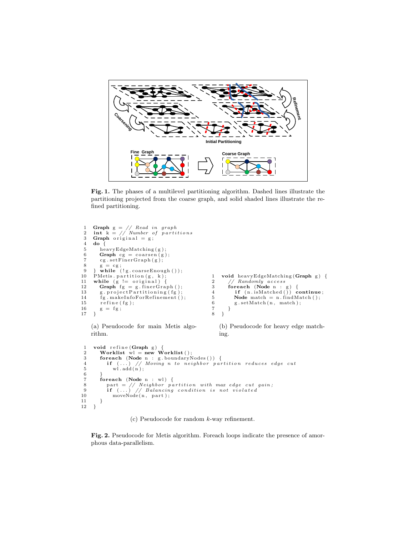

Fig. 1. The phases of a multilevel partitioning algorithm. Dashed lines illustrate the partitioning projected from the coarse graph, and solid shaded lines illustrate the refined partitioning.

```
1 Graph g = // Read in graph<br>2 int k = // Number of partitions
 3 Graph original = g;<br>4 do {
 \begin{array}{cc} 4 & \mathbf{do} \ 5 & \mathbf{he} \end{array}heavyEdgeMatching(g);
 6 Graph cg = coarsen(g);<br>7 cg setFinerGraph(g);
           cg.setFinerGraph(g);8 g = cg;<br>9 } while (!g.coarseEnough());
10 PMetis partition (g, k);<br>11 while (g != original) {
11 while (g := original) \n\begin{cases} 12 & \textbf{Graph} \n\end{cases} fg = g.finerGraph ();
13 g. project Partitioning (fg);
14 fg.\text{makeInfoForRefinement} ();<br>
15 refine(fg);15 \text{refine (fg)};<br>16 \text{g = fg};
       \{ g = fg \}17 }
      (a) Pseudocode for main Metis algo-
      rithm.
                                                                              1 void heavyEdgeMatching (Graph g) {<br>2 // Randomly access
                                                                               2 // Randomly access<br>3 foreach (Node n : g) {
                                                                               4 if (n \cdot isMatched() continue;
                                                                               5 Node match = n . findMatch ();<br>
g . setMatch (n, match);
                                                                                        g . \operatorname{setMatch}(n, \text{ match});\begin{array}{c} 7 \\ 8 \end{array}8 }
                                                                                   (b) Pseudocode for heavy edge match-
                                                                                   ing.
  1 void refine (Graph g) {<br>
2 Worklist wl = new Worklist ();<br>
foreach (Node n : g.boundaryNodes ()) {<br>
if (...) // Moving n to neighbor partition reduces edge cut<br>
5 wl.add(n);
 \begin{array}{c} 6 \\ 7 \end{array}7 foreach (Node n : wl) {<br>8 part = // Neighbor pa
  8 part = // Neighbor partition with max edge cut gain;<br>9 if (...) // Balancing condition is not violated
10 moveNode(n, part);
\begin{matrix} 11 & 1 \ 12 & 1 \end{matrix}12 }
```


Fig. 2. Pseudocode for Metis algorithm. Foreach loops indicate the presence of amorphous data-parallelism.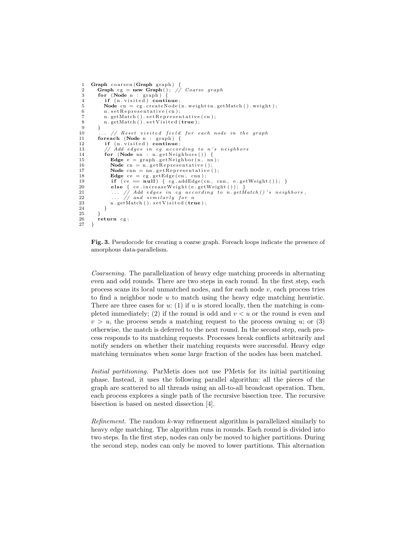```
1 Graph coarsen (Graph graph) {<br>2 Graph cg = new Graph (); // Coarse graph
 3 for (Node n : graph) {
 4 if (n. visited) continue;
 5 Node cn = cg . createNode (n. weight+n . getMatch () . weight);<br>
n. setRepresentative (cn):
             n . s et R e p r e s e n t a t i v e ( cn ) ;
 7 n. getMatch (). set Representative (cn);<br>8 n. getMatch (). set Visited (true):
             n.getMatch(). set Visited (true);
\begin{matrix} 9 \\ 10 \end{matrix} }
            10.1 // Reset visited field for each node in the graph
11 foreach (Node n : graph) {<br>12 if (n, visited) continue:
              if (n. visited) continue;
13 // \overleftrightarrow{Add} edges in cg according to n's neighbors<br>14 for (Node nn : n. getNeighbors ()) {
14 for (Node nn : n . getNeighbors ()) {<br>15 Edge e = graph .getNeighbor (n, nn
                 Edge e = graph.getNeighbour(n, nn);16 Node cn = n.getRepresentative ();<br>17 Node cnn = nn.getRepresentative (
                 Node cnn = nn.getRepresentative ();
18 Edge ce = cg.getEdge(cn, cnn);<br>19 if (ce = null) { cg.addEdge(c
19 if (ce == null) { cg.addEdge(cn, cnn, e.getWeight()); }<br>20 else { ce.increaseWeight(e.getWeight()); }<br>21 ... // Add edges in cg according to n.getMatch()'s neighbors,
\begin{array}{ccc}\n 22 & \cdots \end{array} ... \begin{array}{ccc}\n 22 & \cdots \end{array} and similarly for n<br>
23 n.getMatch().setVisited(tru
             n.getMatch() . set V is tied (true);24 }
25 }
\begin{array}{c} 26 \\ 27 \end{array} return cg;
27 }
```
Fig. 3. Pseudocode for creating a coarse graph. Foreach loops indicate the presence of amorphous data-parallelism.

Coarsening. The parallelization of heavy edge matching proceeds in alternating even and odd rounds. There are two steps in each round. In the first step, each process scans its local unmatched nodes, and for each node  $v$ , each process tries to find a neighbor node  $u$  to match using the heavy edge matching heuristic. There are three cases for u: (1) if u is stored locally, then the matching is completed immediately; (2) if the round is odd and  $v < u$  or the round is even and  $v > u$ , the process sends a matching request to the process owning u; or (3) otherwise, the match is deferred to the next round. In the second step, each process responds to its matching requests. Processes break conflicts arbitrarily and notify senders on whether their matching requests were successful. Heavy edge matching terminates when some large fraction of the nodes has been matched.

Initial partitioning. ParMetis does not use PMetis for its initial partitioning phase. Instead, it uses the following parallel algorithm: all the pieces of the graph are scattered to all threads using an all-to-all broadcast operation. Then, each process explores a single path of the recursive bisection tree. The recursive bisection is based on nested dissection [4].

Refinement. The random k-way refinement algorithm is parallelized similarly to heavy edge matching. The algorithm runs in rounds. Each round is divided into two steps. In the first step, nodes can only be moved to higher partitions. During the second step, nodes can only be moved to lower partitions. This alternation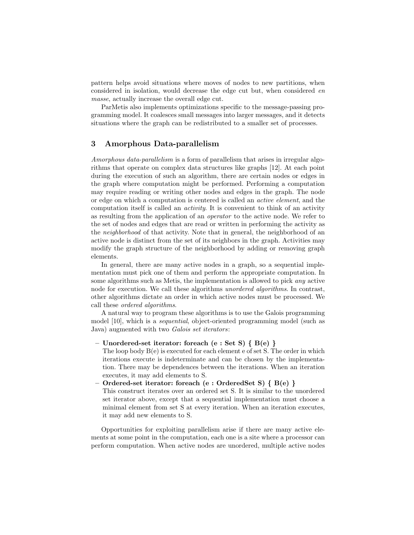pattern helps avoid situations where moves of nodes to new partitions, when considered in isolation, would decrease the edge cut but, when considered en masse, actually increase the overall edge cut.

ParMetis also implements optimizations specific to the message-passing programming model. It coalesces small messages into larger messages, and it detects situations where the graph can be redistributed to a smaller set of processes.

## 3 Amorphous Data-parallelism

Amorphous data-parallelism is a form of parallelism that arises in irregular algorithms that operate on complex data structures like graphs [12]. At each point during the execution of such an algorithm, there are certain nodes or edges in the graph where computation might be performed. Performing a computation may require reading or writing other nodes and edges in the graph. The node or edge on which a computation is centered is called an active element, and the computation itself is called an activity. It is convenient to think of an activity as resulting from the application of an operator to the active node. We refer to the set of nodes and edges that are read or written in performing the activity as the neighborhood of that activity. Note that in general, the neighborhood of an active node is distinct from the set of its neighbors in the graph. Activities may modify the graph structure of the neighborhood by adding or removing graph elements.

In general, there are many active nodes in a graph, so a sequential implementation must pick one of them and perform the appropriate computation. In some algorithms such as Metis, the implementation is allowed to pick any active node for execution. We call these algorithms unordered algorithms. In contrast, other algorithms dictate an order in which active nodes must be processed. We call these ordered algorithms.

A natural way to program these algorithms is to use the Galois programming model [10], which is a sequential, object-oriented programming model (such as Java) augmented with two Galois set iterators:

– Unordered-set iterator: foreach (e : Set S) { B(e) }

The loop body  $B(e)$  is executed for each element e of set S. The order in which iterations execute is indeterminate and can be chosen by the implementation. There may be dependences between the iterations. When an iteration executes, it may add elements to S.

– Ordered-set iterator: foreach (e : OrderedSet S) { B(e) }

This construct iterates over an ordered set S. It is similar to the unordered set iterator above, except that a sequential implementation must choose a minimal element from set S at every iteration. When an iteration executes, it may add new elements to S.

Opportunities for exploiting parallelism arise if there are many active elements at some point in the computation, each one is a site where a processor can perform computation. When active nodes are unordered, multiple active nodes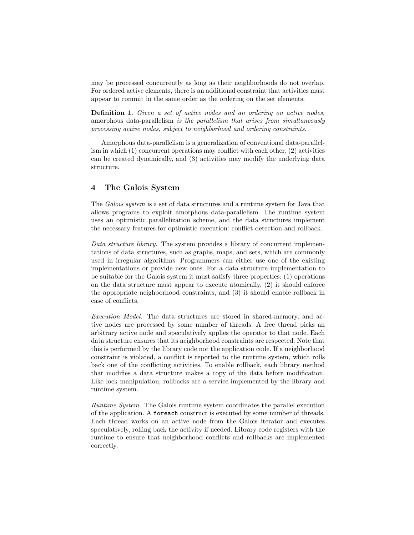may be processed concurrently as long as their neighborhoods do not overlap. For ordered active elements, there is an additional constraint that activities must appear to commit in the same order as the ordering on the set elements.

Definition 1. Given a set of active nodes and an ordering on active nodes, amorphous data-parallelism is the parallelism that arises from simultaneously processing active nodes, subject to neighborhood and ordering constraints.

Amorphous data-parallelism is a generalization of conventional data-parallelism in which  $(1)$  concurrent operations may conflict with each other,  $(2)$  activities can be created dynamically, and (3) activities may modify the underlying data structure.

## 4 The Galois System

The Galois system is a set of data structures and a runtime system for Java that allows programs to exploit amorphous data-parallelism. The runtime system uses an optimistic parallelization scheme, and the data structures implement the necessary features for optimistic execution: conflict detection and rollback.

Data structure library. The system provides a library of concurrent implementations of data structures, such as graphs, maps, and sets, which are commonly used in irregular algorithms. Programmers can either use one of the existing implementations or provide new ones. For a data structure implementation to be suitable for the Galois system it must satisfy three properties: (1) operations on the data structure must appear to execute atomically, (2) it should enforce the appropriate neighborhood constraints, and (3) it should enable rollback in case of conflicts.

Execution Model. The data structures are stored in shared-memory, and active nodes are processed by some number of threads. A free thread picks an arbitrary active node and speculatively applies the operator to that node. Each data structure ensures that its neighborhood constraints are respected. Note that this is performed by the library code not the application code. If a neighborhood constraint is violated, a conflict is reported to the runtime system, which rolls back one of the conflicting activities. To enable rollback, each library method that modifies a data structure makes a copy of the data before modification. Like lock manipulation, rollbacks are a service implemented by the library and runtime system.

Runtime System. The Galois runtime system coordinates the parallel execution of the application. A foreach construct is executed by some number of threads. Each thread works on an active node from the Galois iterator and executes speculatively, rolling back the activity if needed. Library code registers with the runtime to ensure that neighborhood conflicts and rollbacks are implemented correctly.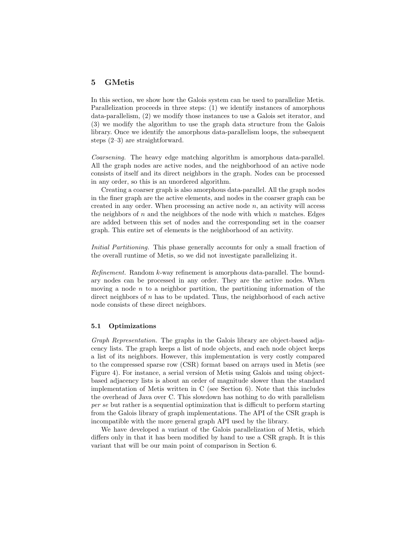## 5 GMetis

In this section, we show how the Galois system can be used to parallelize Metis. Parallelization proceeds in three steps: (1) we identify instances of amorphous data-parallelism, (2) we modify those instances to use a Galois set iterator, and (3) we modify the algorithm to use the graph data structure from the Galois library. Once we identify the amorphous data-parallelism loops, the subsequent steps (2–3) are straightforward.

Coarsening. The heavy edge matching algorithm is amorphous data-parallel. All the graph nodes are active nodes, and the neighborhood of an active node consists of itself and its direct neighbors in the graph. Nodes can be processed in any order, so this is an unordered algorithm.

Creating a coarser graph is also amorphous data-parallel. All the graph nodes in the finer graph are the active elements, and nodes in the coarser graph can be created in any order. When processing an active node  $n$ , an activity will access the neighbors of n and the neighbors of the node with which  $n$  matches. Edges are added between this set of nodes and the corresponding set in the coarser graph. This entire set of elements is the neighborhood of an activity.

Initial Partitioning. This phase generally accounts for only a small fraction of the overall runtime of Metis, so we did not investigate parallelizing it.

Refinement. Random k-way refinement is amorphous data-parallel. The boundary nodes can be processed in any order. They are the active nodes. When moving a node  $n$  to a neighbor partition, the partitioning information of the direct neighbors of  $n$  has to be updated. Thus, the neighborhood of each active node consists of these direct neighbors.

#### 5.1 Optimizations

Graph Representation. The graphs in the Galois library are object-based adjacency lists. The graph keeps a list of node objects, and each node object keeps a list of its neighbors. However, this implementation is very costly compared to the compressed sparse row (CSR) format based on arrays used in Metis (see Figure 4). For instance, a serial version of Metis using Galois and using objectbased adjacency lists is about an order of magnitude slower than the standard implementation of Metis written in C (see Section 6). Note that this includes the overhead of Java over C. This slowdown has nothing to do with parallelism per se but rather is a sequential optimization that is difficult to perform starting from the Galois library of graph implementations. The API of the CSR graph is incompatible with the more general graph API used by the library.

We have developed a variant of the Galois parallelization of Metis, which differs only in that it has been modified by hand to use a CSR graph. It is this variant that will be our main point of comparison in Section 6.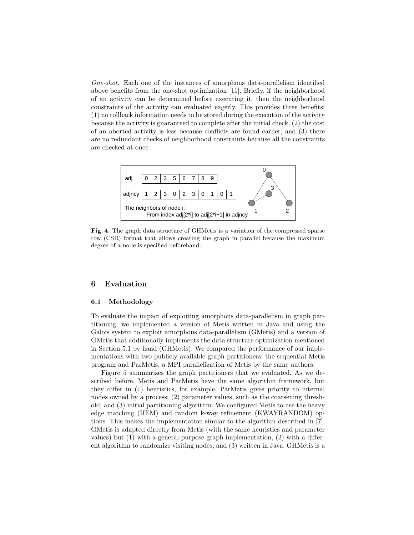One-shot. Each one of the instances of amorphous data-parallelism identified above benefits from the one-shot optimization [11]. Briefly, if the neighborhood of an activity can be determined before executing it, then the neighborhood constraints of the activity can evaluated eagerly. This provides three benefits: (1) no rollback information needs to be stored during the execution of the activity because the activity is guaranteed to complete after the initial check, (2) the cost of an aborted activity is less because conflicts are found earlier, and (3) there are no redundant checks of neighborhood constraints because all the constraints are checked at once.



Fig. 4. The graph data structure of GHMetis is a variation of the compressed sparse row (CSR) format that allows creating the graph in parallel because the maximum degree of a node is specified beforehand.

### 6 Evaluation

#### 6.1 Methodology

To evaluate the impact of exploiting amorphous data-parallelism in graph partitioning, we implemented a version of Metis written in Java and using the Galois system to exploit amorphous data-parallelism (GMetis) and a version of GMetis that additionally implements the data structure optimization mentioned in Section 5.1 by hand (GHMetis). We compared the performance of our implementations with two publicly available graph partitioners: the sequential Metis program and ParMetis, a MPI parallelization of Metis by the same authors.

Figure 5 summarizes the graph partitioners that we evaluated. As we described before, Metis and ParMetis have the same algorithm framework, but they differ in (1) heuristics, for example, ParMetis gives priority to internal nodes owned by a process; (2) parameter values, such as the coarsening threshold; and (3) initial partitioning algorithm. We configured Metis to use the heavy edge matching (HEM) and random k-way refinement (KWAYRANDOM) options. This makes the implementation similar to the algorithm described in [7]. GMetis is adapted directly from Metis (with the same heuristics and parameter values) but (1) with a general-purpose graph implementation, (2) with a different algorithm to randomize visiting nodes, and (3) written in Java. GHMetis is a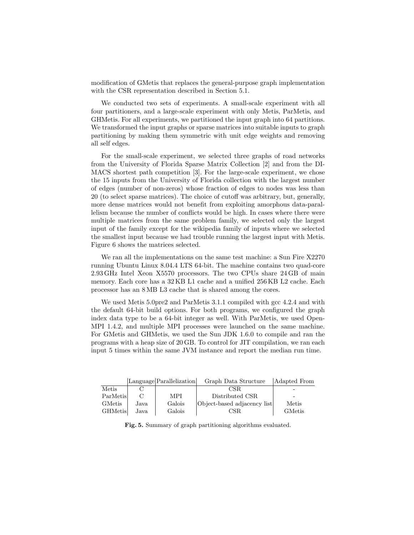modification of GMetis that replaces the general-purpose graph implementation with the CSR representation described in Section 5.1.

We conducted two sets of experiments. A small-scale experiment with all four partitioners, and a large-scale experiment with only Metis, ParMetis, and GHMetis. For all experiments, we partitioned the input graph into 64 partitions. We transformed the input graphs or sparse matrices into suitable inputs to graph partitioning by making them symmetric with unit edge weights and removing all self edges.

For the small-scale experiment, we selected three graphs of road networks from the University of Florida Sparse Matrix Collection [2] and from the DI-MACS shortest path competition [3]. For the large-scale experiment, we chose the 15 inputs from the University of Florida collection with the largest number of edges (number of non-zeros) whose fraction of edges to nodes was less than 20 (to select sparse matrices). The choice of cutoff was arbitrary, but, generally, more dense matrices would not benefit from exploiting amorphous data-parallelism because the number of conflicts would be high. In cases where there were multiple matrices from the same problem family, we selected only the largest input of the family except for the wikipedia family of inputs where we selected the smallest input because we had trouble running the largest input with Metis. Figure 6 shows the matrices selected.

We ran all the implementations on the same test machine: a Sun Fire X2270 running Ubuntu Linux 8.04.4 LTS 64-bit. The machine contains two quad-core 2.93 GHz Intel Xeon X5570 processors. The two CPUs share 24 GB of main memory. Each core has a 32 KB L1 cache and a unified 256 KB L2 cache. Each processor has an 8 MB L3 cache that is shared among the cores.

We used Metis 5.0pre2 and ParMetis 3.1.1 compiled with gcc 4.2.4 and with the default 64-bit build options. For both programs, we configured the graph index data type to be a 64-bit integer as well. With ParMetis, we used Open-MPI 1.4.2, and multiple MPI processes were launched on the same machine. For GMetis and GHMetis, we used the Sun JDK 1.6.0 to compile and ran the programs with a heap size of 20 GB. To control for JIT compilation, we ran each input 5 times within the same JVM instance and report the median run time.

|                |                    | Language Parallelization | Graph Data Structure        | Adapted From  |
|----------------|--------------------|--------------------------|-----------------------------|---------------|
| Metis          |                    |                          | CSR.                        | -             |
| ParMetis       | $\curvearrowright$ | <b>MPI</b>               | Distributed CSR             | -             |
| <b>GMetis</b>  | Java.              | Galois                   | Object-based adjacency list | Metis         |
| <b>GHMetis</b> | Java               | Galois                   | CSR.                        | <b>GMetis</b> |

Fig. 5. Summary of graph partitioning algorithms evaluated.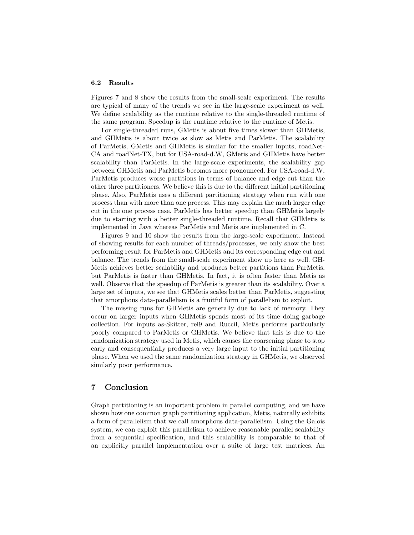#### 6.2 Results

Figures 7 and 8 show the results from the small-scale experiment. The results are typical of many of the trends we see in the large-scale experiment as well. We define scalability as the runtime relative to the single-threaded runtime of the same program. Speedup is the runtime relative to the runtime of Metis.

For single-threaded runs, GMetis is about five times slower than GHMetis, and GHMetis is about twice as slow as Metis and ParMetis. The scalability of ParMetis, GMetis and GHMetis is similar for the smaller inputs, roadNet-CA and roadNet-TX, but for USA-road-d.W, GMetis and GHMetis have better scalability than ParMetis. In the large-scale experiments, the scalability gap between GHMetis and ParMetis becomes more pronounced. For USA-road-d.W, ParMetis produces worse partitions in terms of balance and edge cut than the other three partitioners. We believe this is due to the different initial partitioning phase. Also, ParMetis uses a different partitioning strategy when run with one process than with more than one process. This may explain the much larger edge cut in the one process case. ParMetis has better speedup than GHMetis largely due to starting with a better single-threaded runtime. Recall that GHMetis is implemented in Java whereas ParMetis and Metis are implemented in C.

Figures 9 and 10 show the results from the large-scale experiment. Instead of showing results for each number of threads/processes, we only show the best performing result for ParMetis and GHMetis and its corresponding edge cut and balance. The trends from the small-scale experiment show up here as well. GH-Metis achieves better scalability and produces better partitions than ParMetis, but ParMetis is faster than GHMetis. In fact, it is often faster than Metis as well. Observe that the speedup of ParMetis is greater than its scalability. Over a large set of inputs, we see that GHMetis scales better than ParMetis, suggesting that amorphous data-parallelism is a fruitful form of parallelism to exploit.

The missing runs for GHMetis are generally due to lack of memory. They occur on larger inputs when GHMetis spends most of its time doing garbage collection. For inputs as-Skitter, rel9 and Ruccil, Metis performs particularly poorly compared to ParMetis or GHMetis. We believe that this is due to the randomization strategy used in Metis, which causes the coarsening phase to stop early and consequentially produces a very large input to the initial partitioning phase. When we used the same randomization strategy in GHMetis, we observed similarly poor performance.

## 7 Conclusion

Graph partitioning is an important problem in parallel computing, and we have shown how one common graph partitioning application, Metis, naturally exhibits a form of parallelism that we call amorphous data-parallelism. Using the Galois system, we can exploit this parallelism to achieve reasonable parallel scalability from a sequential specification, and this scalability is comparable to that of an explicitly parallel implementation over a suite of large test matrices. An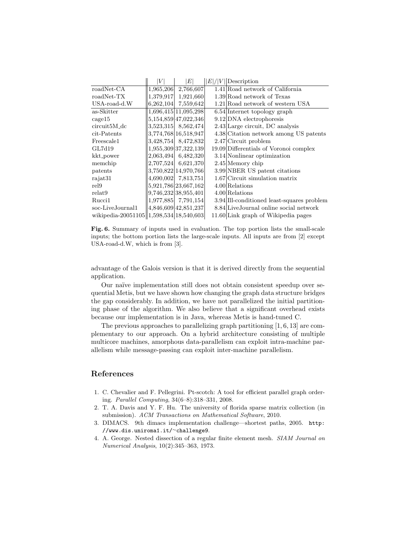|                                          | $V\vert$  | $E\vert$                 | $E / V $ Description                       |
|------------------------------------------|-----------|--------------------------|--------------------------------------------|
| roadNet-CA                               |           | 1,965,206 2,766,607      | 1.41 Road network of California            |
| roadNet-TX                               | 1,379,917 | 1,921,660                | 1.39 Road network of Texas                 |
| $USA$ -road-d. $W$                       |           | $6,262,104$ 7,559,642    | 1.21 Road network of western USA           |
| as-Skitter                               |           | 1,696,415 11,095,298     | $6.54$ Internet topology graph             |
| cage15                                   |           | 5, 154, 859 47, 022, 346 | $9.12$ DNA electrophoresis                 |
| circuit <sub>5</sub> M <sub>-dc</sub>    |           | 3,523,315 8,562,474      | $2.43$ Large circuit, DC analysis          |
| cit-Patents                              |           | 3,774,768 16,518,947     | 4.38 Citation network among US patents     |
| Freescale1                               |           | 3,428,754 8,472,832      | 2.47 Circuit problem                       |
| GL7d19                                   |           | 1,955,309 37,322,139     | 19.09 Differentials of Voronoi complex     |
| kkt_power                                |           | 2,063,494 6,482,320      | 3.14 Nonlinear optimization                |
| memchip                                  |           | 2,707,524 6,621,370      | $2.45$ Memory chip                         |
| patents                                  |           | 3,750,822 14,970,766     | 3.99 NBER US patent citations              |
| rajat31                                  |           | 4,690,002 7,813,751      | 1.67 Circuit simulation matrix             |
| rel9                                     |           | 5,921,786 23,667,162     | 4.00 Relations                             |
| relat9                                   |           | 9,746,232 38,955,401     | 4.00 Relations                             |
| Rucci <sub>1</sub>                       |           | 1,977,885 7,791,154      | 3.94 Ill-conditioned least-squares problem |
| soc-LiveJournal1                         |           | 4,846,609 42,851,237     | 8.84 Live Journal online social network    |
| wikipedia-20051105  1,598,534 18,540,603 |           |                          | 11.60 Link graph of Wikipedia pages        |

Fig. 6. Summary of inputs used in evaluation. The top portion lists the small-scale inputs; the bottom portion lists the large-scale inputs. All inputs are from [2] except USA-road-d.W, which is from [3].

advantage of the Galois version is that it is derived directly from the sequential application.

Our na¨ıve implementation still does not obtain consistent speedup over sequential Metis, but we have shown how changing the graph data structure bridges the gap considerably. In addition, we have not parallelized the initial partitioning phase of the algorithm. We also believe that a significant overhead exists because our implementation is in Java, whereas Metis is hand-tuned C.

The previous approaches to parallelizing graph partitioning  $[1, 6, 13]$  are complementary to our approach. On a hybrid architecture consisting of multiple multicore machines, amorphous data-parallelism can exploit intra-machine parallelism while message-passing can exploit inter-machine parallelism.

# References

- 1. C. Chevalier and F. Pellegrini. Pt-scotch: A tool for efficient parallel graph ordering. Parallel Computing, 34(6–8):318–331, 2008.
- 2. T. A. Davis and Y. F. Hu. The university of florida sparse matrix collection (in submission). ACM Transactions on Mathematical Software, 2010.
- 3. DIMACS. 9th dimacs implementation challenge—shortest paths, 2005. http: //www.dis.uniroma1.it/<sup>∼</sup>challenge9.
- 4. A. George. Nested dissection of a regular finite element mesh. SIAM Journal on Numerical Analysis, 10(2):345–363, 1973.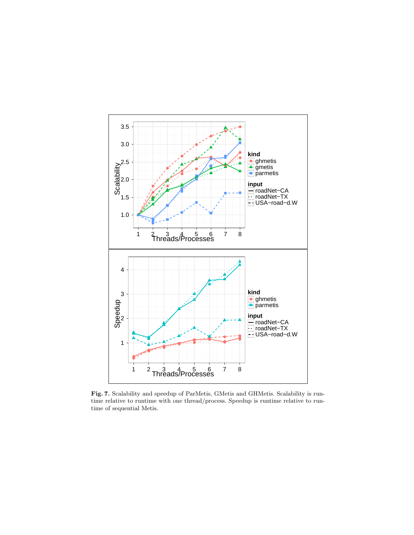

Fig. 7. Scalability and speedup of ParMetis, GMetis and GHMetis. Scalability is runtime relative to runtime with one thread/process. Speedup is runtime relative to runtime of sequential Metis.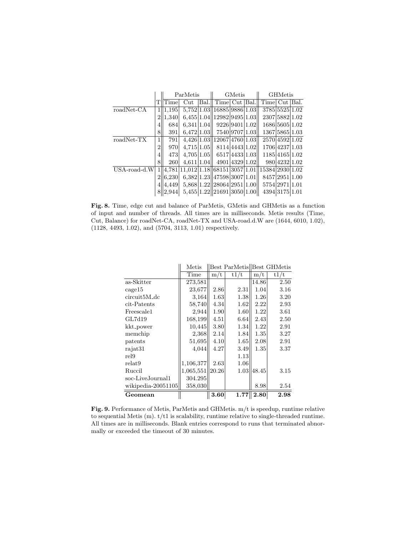|                    |                              | ParMetis               |                                   | <b>GMetis</b> |                            |                | <b>GHMetis</b> |                 |                |  |
|--------------------|------------------------------|------------------------|-----------------------------------|---------------|----------------------------|----------------|----------------|-----------------|----------------|--|
|                    | T                            | Time                   | $_{\rm Cut}$                      | Bal.          | Time Cut Bal.              |                |                | Time Cut Bal.   |                |  |
| roadNet-CA         |                              | 1,195                  |                                   |               | 5,752 1.03 16885 9886 1.03 |                |                |                 | 3785 5525 1.02 |  |
|                    | $\overline{2}$ $\overline{}$ | 1.340                  |                                   |               | 6,455 1.04 12982 9495 1.03 |                |                |                 | 2307 5882 1.02 |  |
|                    | 4                            | 684                    | 6.341   1.04                      |               |                            | 9226 9401 1.02 |                |                 | 1686 5605 1.02 |  |
|                    | 8                            | 391                    | 6,472 1.03                        |               |                            | 7540 9707 1.03 |                |                 | 1367 5865 1.03 |  |
| roadNet-TX         | 1 <sup>1</sup>               | 791                    | 4.426 1.03                        |               | 12067 4760 1.03            |                |                |                 | 2570 4592 1.02 |  |
|                    | $\overline{2}$               | 970                    | 4.715 1.05                        |               |                            | 8114 443 1.02  |                |                 | 1706 4237 1.03 |  |
|                    | 4                            | 473                    | 4,705 1.05                        |               |                            | 6517 4433 1.03 |                |                 | 1185 4165 1.02 |  |
|                    | 81                           | <b>260</b>             | 4,611 1.04                        |               |                            | 4901 4329 1.02 |                |                 | 980 4232 1.02  |  |
| $USA$ -road-d. $W$ |                              |                        | 4.781 11.012 1.18 68151 3057 1.01 |               |                            |                |                | 15384 2930 1.02 |                |  |
|                    | $\overline{2}$               | $\left  6.230 \right $ |                                   |               | 6,382 1.23 47598 3007 1.01 |                |                |                 | 8457 2951 1.00 |  |
|                    | 41                           | 4,449                  |                                   |               | 5,868 1.22 28064 2951 1.00 |                |                |                 | 5754 2971 1.01 |  |
|                    |                              | 2,944                  |                                   |               | 5,455 1.22 21691 3050 1.00 |                |                |                 | 4394 3175 1.01 |  |

Fig. 8. Time, edge cut and balance of ParMetis, GMetis and GHMetis as a function of input and number of threads. All times are in milliseconds. Metis results (Time, Cut, Balance) for roadNet-CA, roadNet-TX and USA-road.d.W are (1644, 6010, 1.02), (1128, 4493, 1.02), and (5704, 3113, 1.01) respectively.

|                    | Metis     |       | Best ParMetis Best GHMetis |       |      |
|--------------------|-----------|-------|----------------------------|-------|------|
|                    | Time      | m/t   | t1/t                       | m/t   | t1/t |
| as-Skitter         | 273,581   |       |                            | 14.86 | 2.50 |
| cage15             | 23,677    | 2.86  | 2.31                       | 1.04  | 3.16 |
| circuit5M_dc       | 3,164     | 1.63  | 1.38                       | 1.26  | 3.20 |
| cit-Patents        | 58,740    | 4.34  | 1.62                       | 2.22  | 2.93 |
| Freescale1         | 2,944     | 1.90  | 1.60                       | 1.22  | 3.61 |
| GL7d19             | 168,199   | 4.51  | 6.64                       | 2.43  | 2.50 |
| kkt_power          | 10,445    | 3.80  | 1.34                       | 1.22  | 2.91 |
| memchip            | 2,368     | 2.14  | 1.84                       | 1.35  | 3.27 |
| patents            | 51,695    | 4.10  | 1.65                       | 2.08  | 2.91 |
| $ra$ jat $31$      | 4,044     | 4.27  | 3.49                       | 1.35  | 3.37 |
| rel9               |           |       | 1.13                       |       |      |
| relat9             | 1,106,377 | 2.63  | 1.06                       |       |      |
| Ruccil             | 1,065,551 | 20.26 | 1.03                       | 48.45 | 3.15 |
| soc-LiveJournal1   | 304.295   |       |                            |       |      |
| wikipedia-20051105 | 358,030   |       |                            | 8.98  | 2.54 |
| Geomean            |           | 3.60  | 1.77                       | 2.80  | 2.98 |

Fig. 9. Performance of Metis, ParMetis and GHMetis. m/t is speedup, runtime relative to sequential Metis (m). t/t1 is scalability, runtime relative to single-threaded runtime. All times are in milliseconds. Blank entries correspond to runs that terminated abnormally or exceeded the timeout of 30 minutes.